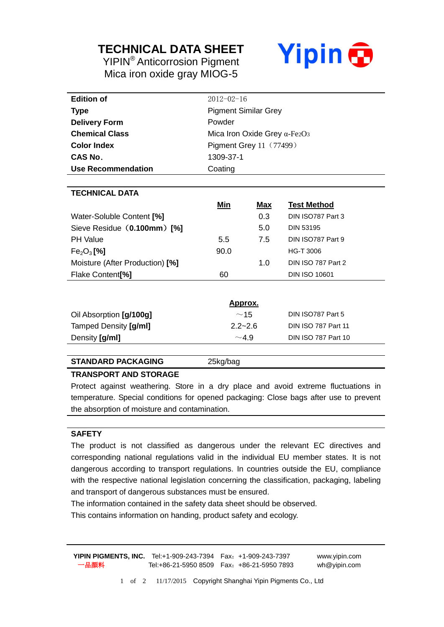## **TECHNICAL DATA SHEET**

YIPIN® Anticorrosion Pigment Mica iron oxide gray MIOG-5



| <b>Edition of</b>                  | $2012 - 02 - 16$                     |            |                            |
|------------------------------------|--------------------------------------|------------|----------------------------|
| <b>Type</b>                        | <b>Pigment Similar Grey</b>          |            |                            |
| <b>Delivery Form</b>               | Powder                               |            |                            |
| <b>Chemical Class</b>              | Mica Iron Oxide Grey $\alpha$ -Fe2O3 |            |                            |
| <b>Color Index</b>                 | Pigment Grey 11 (77499)              |            |                            |
| <b>CAS No.</b>                     | 1309-37-1                            |            |                            |
| Use Recommendation                 | Coating                              |            |                            |
|                                    |                                      |            |                            |
| <b>TECHNICAL DATA</b>              |                                      |            |                            |
|                                    | <u>Min</u>                           | <u>Max</u> | <b>Test Method</b>         |
| Water-Soluble Content [%]          |                                      | 0.3        | DIN ISO787 Part 3          |
| Sieve Residue (0.100mm) [%]        |                                      | 5.0        | <b>DIN 53195</b>           |
| <b>PH Value</b>                    | 5.5                                  | 7.5        | DIN ISO787 Part 9          |
| Fe <sub>2</sub> O <sub>3</sub> [%] | 90.0                                 |            | <b>HG-T 3006</b>           |
| Moisture (After Production) [%]    |                                      | 1.0        | DIN ISO 787 Part 2         |
| Flake Content <sup>[%]</sup>       | 60                                   |            | <b>DIN ISO 10601</b>       |
|                                    |                                      |            |                            |
| <u>Approx.</u>                     |                                      |            |                            |
| Oil Absorption [g/100g]            | ~15                                  |            | DIN ISO787 Part 5          |
| Tamped Density [g/ml]              | $2.2 - 2.6$                          |            | <b>DIN ISO 787 Part 11</b> |
| Density [g/ml]                     | $\sim$ 4.9                           |            | DIN ISO 787 Part 10        |

#### **STANDARD PACKAGING** 25kg/bag

#### **TRANSPORT AND STORAGE**

Protect against weathering. Store in a dry place and avoid extreme fluctuations in temperature. Special conditions for opened packaging: Close bags after use to prevent the absorption of moisture and contamination.

#### **SAFETY**

The product is not classified as dangerous under the relevant EC directives and corresponding national regulations valid in the individual EU member states. It is not dangerous according to transport regulations. In countries outside the EU, compliance with the respective national legislation concerning the classification, packaging, labeling and transport of dangerous substances must be ensured.

The information contained in the safety data sheet should be observed.

This contains information on handing, product safety and ecology.

**YIPIN PIGMENTS, INC.** Tel:+1-909-243-7394 Fax:+1-909-243-7397 www.yipin.com 一品颜料 Tel:+86-21-5950 8509 Fax:+86-21-5950 7893 wh@yipin.com

1 of 2 11/17/2015 Copyright Shanghai Yipin Pigments Co., Ltd